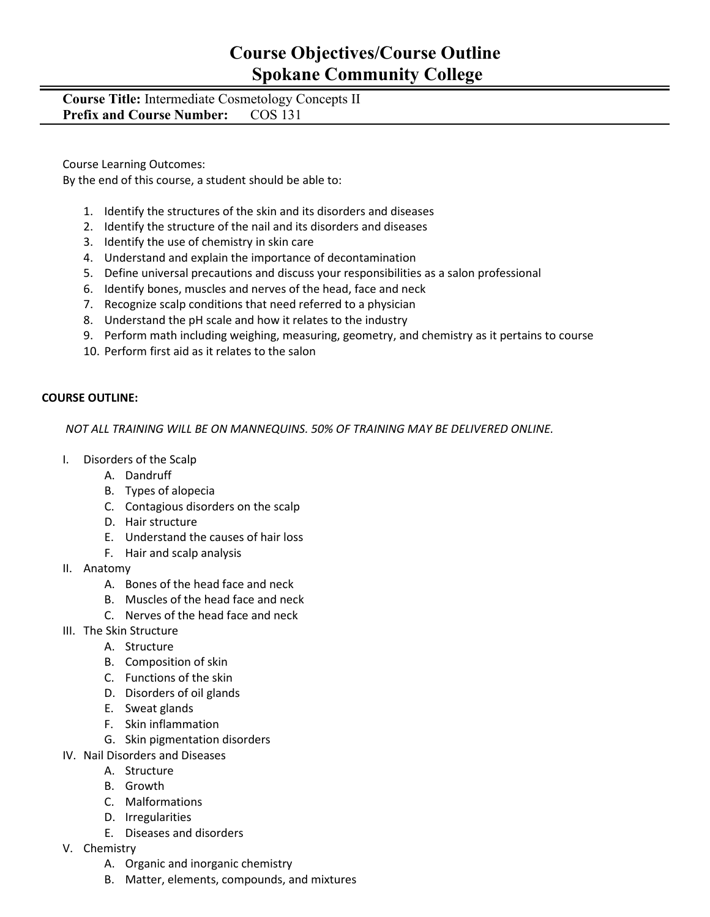### **Course Objectives/Course Outline Spokane Community College**

#### **Course Title:** Intermediate Cosmetology Concepts II **Prefix and Course Number:** COS 131

Course Learning Outcomes:

By the end of this course, a student should be able to:

- 1. Identify the structures of the skin and its disorders and diseases
- 2. Identify the structure of the nail and its disorders and diseases
- 3. Identify the use of chemistry in skin care
- 4. Understand and explain the importance of decontamination
- 5. Define universal precautions and discuss your responsibilities as a salon professional
- 6. Identify bones, muscles and nerves of the head, face and neck
- 7. Recognize scalp conditions that need referred to a physician
- 8. Understand the pH scale and how it relates to the industry
- 9. Perform math including weighing, measuring, geometry, and chemistry as it pertains to course
- 10. Perform first aid as it relates to the salon

#### **COURSE OUTLINE:**

*NOT ALL TRAINING WILL BE ON MANNEQUINS. 50% OF TRAINING MAY BE DELIVERED ONLINE.*

- I. Disorders of the Scalp
	- A. Dandruff
	- B. Types of alopecia
	- C. Contagious disorders on the scalp
	- D. Hair structure
	- E. Understand the causes of hair loss
	- F. Hair and scalp analysis
- II. Anatomy
	- A. Bones of the head face and neck
	- B. Muscles of the head face and neck
	- C. Nerves of the head face and neck
- III. The Skin Structure
	- A. Structure
	- B. Composition of skin
	- C. Functions of the skin
	- D. Disorders of oil glands
	- E. Sweat glands
	- F. Skin inflammation
	- G. Skin pigmentation disorders
- IV. Nail Disorders and Diseases
	- A. Structure
	- B. Growth
	- C. Malformations
	- D. Irregularities
	- E. Diseases and disorders
- V. Chemistry
	- A. Organic and inorganic chemistry
	- B. Matter, elements, compounds, and mixtures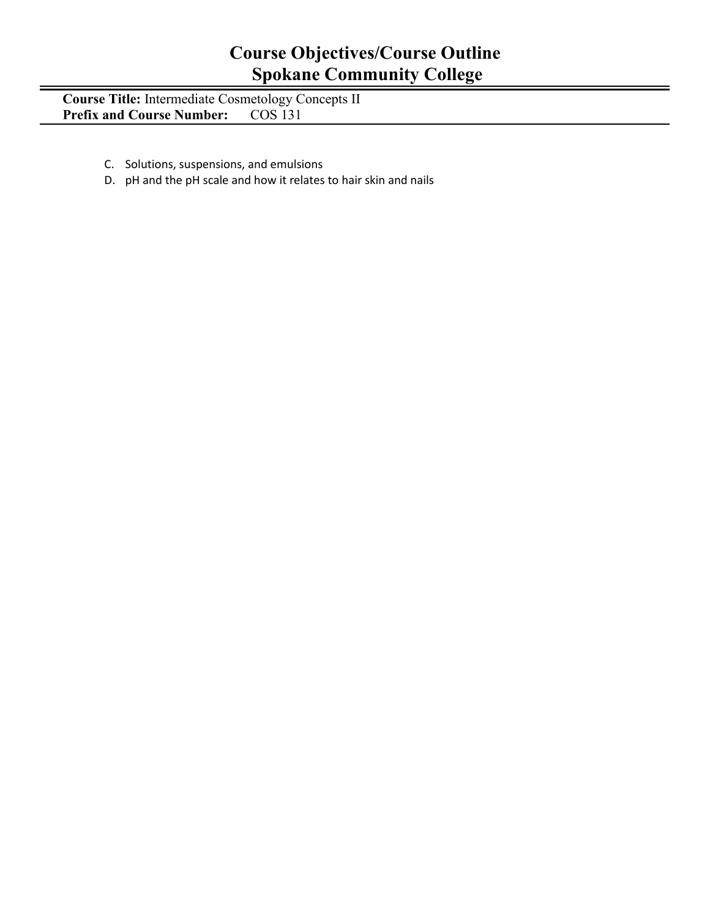# **Course Objectives/Course Outline Spokane Community College**

**Course Title:** Intermediate Cosmetology Concepts II **Prefix and Course Number:** COS 131

- C. Solutions, suspensions, and emulsions
- D. pH and the pH scale and how it relates to hair skin and nails